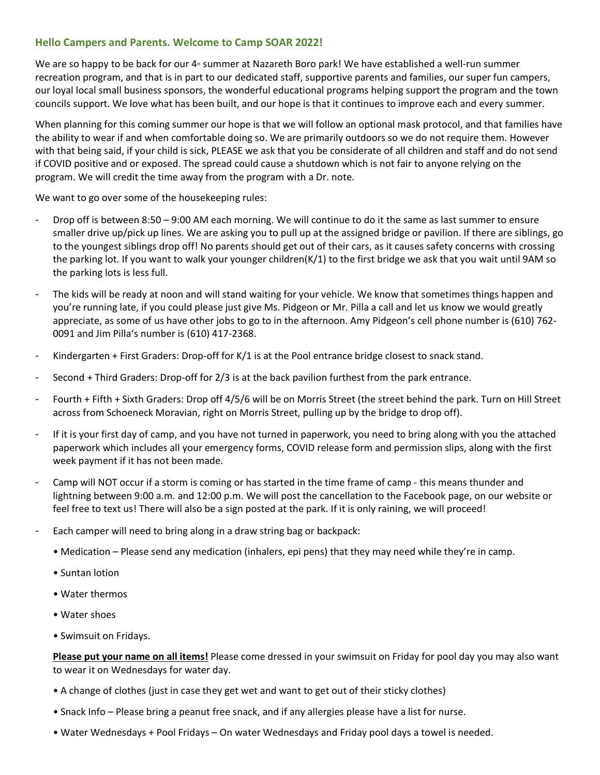## **Hello Campers and Parents. Welcome to Camp SOAR 2022!**

We are so happy to be back for our 4<sup>th</sup> summer at Nazareth Boro park! We have established a well-run summer recreation program, and that is in part to our dedicated staff, supportive parents and families, our super fun campers, our loyal local small business sponsors, the wonderful educational programs helping support the program and the town councils support. We love what has been built, and our hope is that it continues to improve each and every summer.

When planning for this coming summer our hope is that we will follow an optional mask protocol, and that families have the ability to wear if and when comfortable doing so. We are primarily outdoors so we do not require them. However with that being said, if your child is sick, PLEASE we ask that you be considerate of all children and staff and do not send if COVID positive and or exposed. The spread could cause a shutdown which is not fair to anyone relying on the program. We will credit the time away from the program with a Dr. note.

We want to go over some of the housekeeping rules:

- Drop off is between 8:50 9:00 AM each morning. We will continue to do it the same as last summer to ensure smaller drive up/pick up lines. We are asking you to pull up at the assigned bridge or pavilion. If there are siblings, go to the youngest siblings drop off! No parents should get out of their cars, as it causes safety concerns with crossing the parking lot. If you want to walk your younger children(K/1) to the first bridge we ask that you wait until 9AM so the parking lots is less full.
- The kids will be ready at noon and will stand waiting for your vehicle. We know that sometimes things happen and you're running late, if you could please just give Ms. Pidgeon or Mr. Pilla a call and let us know we would greatly appreciate, as some of us have other jobs to go to in the afternoon. Amy Pidgeon's cell phone number is (610) 762- 0091 and Jim Pilla's number is (610) 417-2368.
- Kindergarten + First Graders: Drop-off for K/1 is at the Pool entrance bridge closest to snack stand.
- Second + Third Graders: Drop-off for 2/3 is at the back pavilion furthest from the park entrance.
- Fourth + Fifth + Sixth Graders: Drop off 4/5/6 will be on Morris Street (the street behind the park. Turn on Hill Street across from Schoeneck Moravian, right on Morris Street, pulling up by the bridge to drop off).
- If it is your first day of camp, and you have not turned in paperwork, you need to bring along with you the attached paperwork which includes all your emergency forms, COVID release form and permission slips, along with the first week payment if it has not been made.
- Camp will NOT occur if a storm is coming or has started in the time frame of camp this means thunder and lightning between 9:00 a.m. and 12:00 p.m. We will post the cancellation to the Facebook page, on our website or feel free to text us! There will also be a sign posted at the park. If it is only raining, we will proceed!
- Each camper will need to bring along in a draw string bag or backpack:
	- Medication Please send any medication (inhalers, epi pens) that they may need while they're in camp.
	- Suntan lotion
	- Water thermos
	- Water shoes
	- Swimsuit on Fridays.

**Please put your name on all items!** Please come dressed in your swimsuit on Friday for pool day you may also want to wear it on Wednesdays for water day.

- A change of clothes (just in case they get wet and want to get out of their sticky clothes)
- Snack Info Please bring a peanut free snack, and if any allergies please have a list for nurse.
- Water Wednesdays + Pool Fridays On water Wednesdays and Friday pool days a towel is needed.